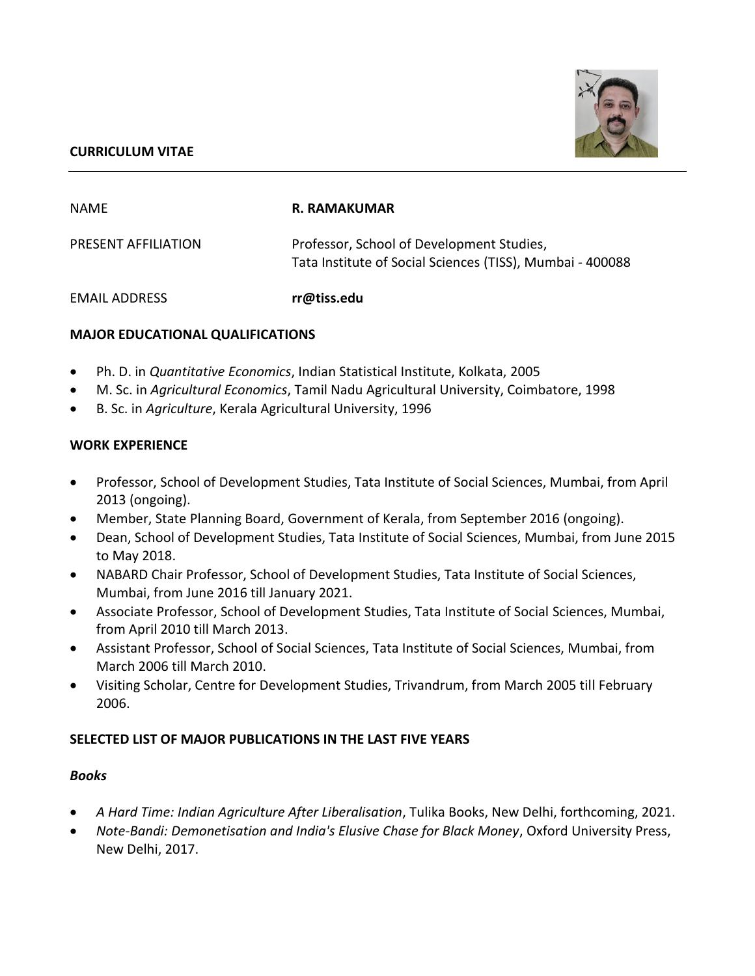### **CURRICULUM VITAE**



| NAME                 | R. RAMAKUMAR                                                                                           |
|----------------------|--------------------------------------------------------------------------------------------------------|
| PRESENT AFFILIATION  | Professor, School of Development Studies,<br>Tata Institute of Social Sciences (TISS), Mumbai - 400088 |
| <b>EMAIL ADDRESS</b> | rr@tiss.edu                                                                                            |

### **MAJOR EDUCATIONAL QUALIFICATIONS**

- Ph. D. in *Quantitative Economics*, Indian Statistical Institute, Kolkata, 2005
- M. Sc. in *Agricultural Economics*, Tamil Nadu Agricultural University, Coimbatore, 1998
- B. Sc. in *Agriculture*, Kerala Agricultural University, 1996

#### **WORK EXPERIENCE**

- Professor, School of Development Studies, Tata Institute of Social Sciences, Mumbai, from April 2013 (ongoing).
- Member, State Planning Board, Government of Kerala, from September 2016 (ongoing).
- Dean, School of Development Studies, Tata Institute of Social Sciences, Mumbai, from June 2015 to May 2018.
- NABARD Chair Professor, School of Development Studies, Tata Institute of Social Sciences, Mumbai, from June 2016 till January 2021.
- Associate Professor, School of Development Studies, Tata Institute of Social Sciences, Mumbai, from April 2010 till March 2013.
- Assistant Professor, School of Social Sciences, Tata Institute of Social Sciences, Mumbai, from March 2006 till March 2010.
- Visiting Scholar, Centre for Development Studies, Trivandrum, from March 2005 till February 2006.

#### **SELECTED LIST OF MAJOR PUBLICATIONS IN THE LAST FIVE YEARS**

#### *Books*

- *A Hard Time: Indian Agriculture After Liberalisation*, Tulika Books, New Delhi, forthcoming, 2021.
- *Note-Bandi: Demonetisation and India's Elusive Chase for Black Money*, Oxford University Press, New Delhi, 2017.